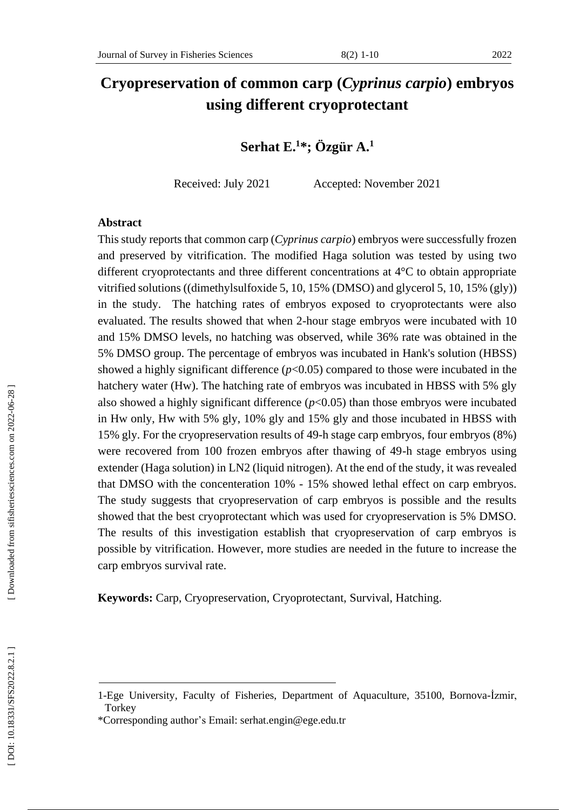# **Cryopreservation of common carp (***Cyprinus carpio***) embryos using different cryoprotectant**

**Serhat E . 1 \* ; Özgür A. 1**

Received: July 2021 Accepted: November 2021

#### **Abstract**

This study reports that common carp (*Cyprinus carpio*) embryos were successfully frozen and preserved by vitrification. The modified Haga solution was tested by using two different cryoprotectants and three different concentrations at 4°C to obtain appropriate vitrified solutions ((dimethylsulfoxide 5, 10, 15% (DMSO) and glycerol 5, 10, 15% (gl y)) in the study. The hatching rates of embryos exposed to cryoprotectants were also evaluated. The results showed that when 2 -hour stage embryos were incubated with 10 and 15% DMSO levels, no hatching was observed, while 36% rate was obtained in the 5% DMSO group. The percentage of embryos was incubated in Hank's solution (HBSS) showed a highly significant difference  $(p<0.05)$  compared to those were incubated in the hatchery water (Hw). The hatching rate of embryos was incubated in HBSS with 5% gly also showed a highly significant difference  $(p<0.05)$  than those embryos were incubated in Hw only, Hw with 5% gly, 10% gly and 15% gly and those incubated in HBSS with 15% gly. For the cryopreservation results of 49 -h stage carp embryos, four embryos (8%) were recovered from 100 frozen embryos after thawing of 49 -h stage embryos using extender (Haga solution) in LN2 (liquid nitrogen). At the end of the study, it was revealed that DMSO with the concenteration 10% - 15% showed lethal effect on carp embryos. The study suggests that cryopreservation of carp embryos is possible and the results showed that the best cryoprotectant which was used for cryopreservation is 5% DMSO. The results of this investigation establish that cryopreservation of carp embryos is possible by vitrification. However, more studies are needed in the future to increase the carp embryos survival rate.

**Keywords:** Carp, Cryopreservation, Cryoprotectant, Survival, Hatching.

<sup>1-</sup>Ege University, Faculty of Fisheries, Department of Aquaculture, 35100, Bornova -İzmir, **Torkey** 

<sup>\*</sup>Corresponding author's Email: [serhat.engin@ege.edu.tr](mailto:serhat.engin@ege.edu.tr)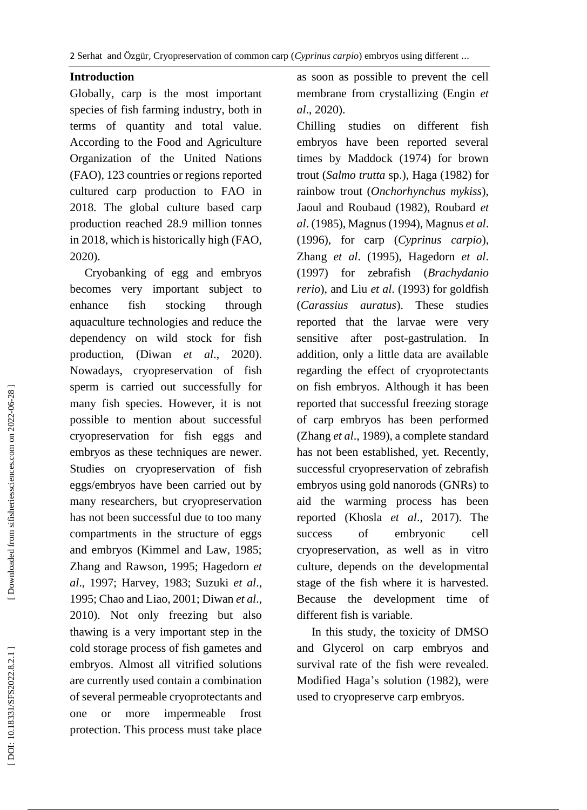2 Serhat and Özgür, Cryopreservation of common carp (*Cyprinus carpio*) embryos using different ...

### **Introduction**

Globally, carp is the most important species of fish farming industry, both in terms of quantity and total value. According to the Food and Agriculture Organization of the United Nations (FAO), 123 countries or regions reported cultured carp production to FAO in 2018. The global culture based carp production reached 28.9 million tonnes in 2018, which is historically high (FAO, 2020) .

 Cryobanking of egg and embryos becomes very important subject to enhance fish stocking through aquaculture technologies and reduce the dependency on wild stock for fish production, (Diwan *et al*., 2020). Nowadays, cryopreservation of fish sperm is carried out successfully for many fish species. However, it is not possible to mention about successful cryopreservation for fish eggs and embryos as these techniques are newer. Studies on cryopreservation of fish eggs/embryos have been carried out by many researchers, but cryopreservation has not been successful due to too many compartments in the structure of eggs and embryos (Kimmel and Law, 1985; Zhang and Rawson, 1995 ; Hagedorn *et al*., 1997; Harvey, 1983; Suzuki *et al*., 1995; Chao and Liao, 2001; Diwan *et al*., 2010). Not only freezing but also thawing is a very important step in the cold storage process of fish gametes and embryos. Almost all vitrified solutions are currently used contain a combination of several permeable cryoprotectants and one or more impermeable frost protection. This process must take place

as soon as possible to prevent the cell membrane from crystallizing (Engin *et al*., 2020).

Chilling studies on different fish embryos have been reported several times by Maddock (1974) for brown trout (*Salmo trutta* sp.), Haga (1982) for rainbow trout (*Onchorhynchus mykiss*), Jaoul and Roubaud (1982), Roubard *et al*. (1985), Magnus (1994), Magnus *et al*. (1996), for carp (*Cyprinus carpio*), Zhang *et al*. (1995), Hagedorn *et al*. (1997) for zebrafish (*Brachydanio rerio* ) , and Liu *et al*. (1993) for goldfish (*Carassius auratus*). These studies reported that the larvae were very sensitive after post -gastrulation. In addition, only a little data are available regarding the effect of cryoprotectants on fish embryos. Although it has been reported that successful freezing storage of carp embryos has been performed (Zhang *et al*., 1989), a complete standard has not been established, yet. Recently, successful cryopreservation of zebrafish embryos using gold nanorods (GNRs) to aid the warming process has been reported (Khosla *et al* . , 2017). The success of embryonic cell cryopreservation, as well as in vitro culture, depends on the developmental stage of the fish where it is harvested. Because the development time of different fish is variable.

 In this study, the toxicity of DMSO and Glycerol on carp embryos and survival rate of the fish were revealed. Modified Haga's solution (1982), were used to cryopreserve carp embryos.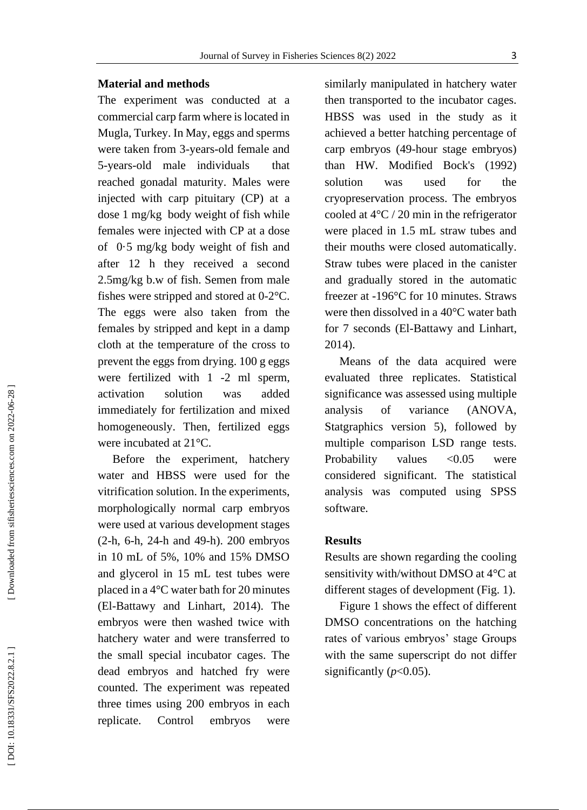## Journal of Survey in Fisheries Sciences 8(2) 2022

#### **Material and methods**

The experiment was conducted at a commercial carp farm where is located in Mugla, Turkey. In May, eggs and sperms were taken from 3 -years -old female and 5 -years -old male individuals that reached gonadal maturity. Males were injected with carp pituitary (CP) at a dose 1 mg/kg body weight of fish while females were injected with CP at a dose of 0·5 mg/kg body weight of fish and after 12 h they received a second 2.5mg/kg b.w of fish. Semen from male fishes were stripped and stored at 0 -2°C. The eggs were also taken from the females by stripped and kept in a damp cloth at the temperature of the cross to prevent the eggs from drying. 100 g eggs were fertilized with 1 -2 ml sperm, activation solution was added immediately for fertilization and mixed homogeneously. Then, fertilized eggs were incubated at 21°C.

 Before the experiment, hatchery water and HBSS were used for the vitrification solution. In the experiments, morphologically normal carp embryos were used at various development stages (2 -h, 6 -h, 24 -h and 49 -h). 200 embryos in 10 mL of 5%, 10% and 15% DMSO and glycerol in 15 mL test tubes were placed in a 4°C water bath for 20 minutes (El -Battawy and Linhart, 2014). The embryos were then washed twice with hatchery water and were transferred to the small special incubator cages. The dead embryos and hatched fry were counted. The experiment was repeated three times using 200 embryos in each replicate. Control embryos were

similarly manipulated in hatchery water then transported to the incubator cages. HBSS was used in the study as it achieved a better hatching percentage of carp embryos (49 -hour stage embryos) than HW. Modified Bock's (1992) solution was used for the cryopreservation process. The embryos cooled at 4°C / 20 min in the refrigerator were placed in 1.5 mL straw tubes and their mouths were closed automatically. Straw tubes were placed in the canister and gradually stored in the automatic freezer at -196°C for 10 minutes. Straws were then dissolved in a 40°C water bath for 7 seconds (El -Battawy and Linhart, 2014).

 Means of the data acquired were evaluated three replicates. Statistical significance was assessed using multiple analysis of variance (ANOVA, Statgraphics version 5), followed by multiple comparison LSD range tests. Probability values <0.05 were considered significant. The statistical analysis was computed using SPSS software.

#### **Results**

Results are shown regarding the cooling sensitivity with/without DMSO at 4°C at different stages of development (Fig. 1).

 Figure 1 shows the effect of different DMSO concentrations on the hatching rates of various embryos' stage Groups with the same superscript do not differ significantly  $(p<0.05)$ .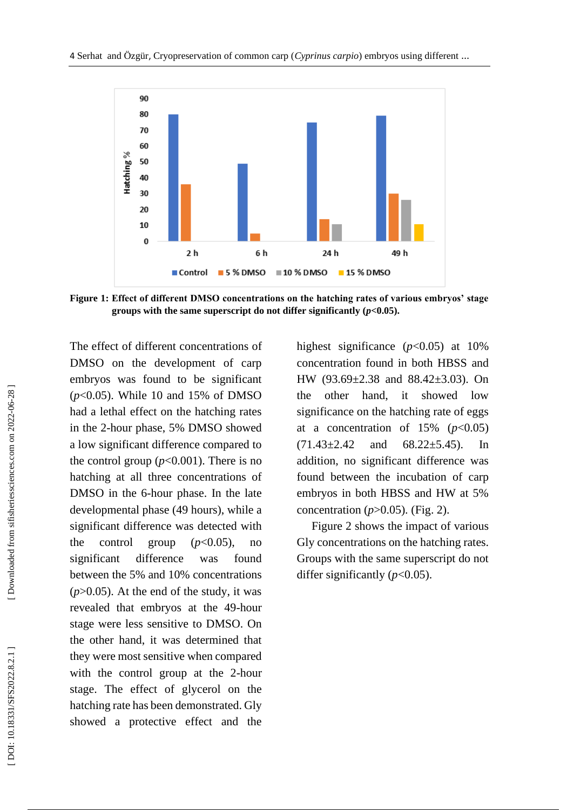

**Figure 1 : Effect of different DMSO concentrations on the hatching rates of various embryos' stage groups with the same superscript do not differ significantly (***p***<0.05).**

The effect of different concentrations of DMSO on the development of carp embryos was found to be significant (*p*<0.05). While 10 and 15% of DMSO had a lethal effect on the hatching rates in the 2 -hour phase, 5% DMSO showed a low significant difference compared to the control group  $(p<0.001)$ . There is no hatching at all three concentrations of DMSO in the 6 -hour phase. In the late developmental phase (49 hours), while a significant difference was detected with the control group  $(p<0.05)$ , no significant difference was found between the 5% and 10% concentrations (*p*>0.05). At the end of the study, it was revealed that embryos at the 49 -hour stage were less sensitive to DMSO. On the other hand, it was determined that they were most sensitive when compared with the control group at the 2 -hour stage. The effect of glycerol on the hatching rate has been demonstrated. Gly showed a protective effect and the

highest significance  $(p<0.05)$  at 10% concentration found in both HBSS and HW (93.69±2.38 and 88.42±3.03). On the other hand, it showed low significance on the hatching rate of eggs at a concentration of  $15\%$  ( $p<0.05$ )  $(71.43\pm 2.42$  and  $68.22\pm 5.45$ ). In addition, no significant difference was found between the incubation of carp embryos in both HBSS and HW at 5% concentration (*p*>0.05). (Fig . 2) .

 Figure 2 shows the impact of various Gly concentrations on the hatching rates. Groups with the same superscript do not differ significantly  $(p<0.05)$ .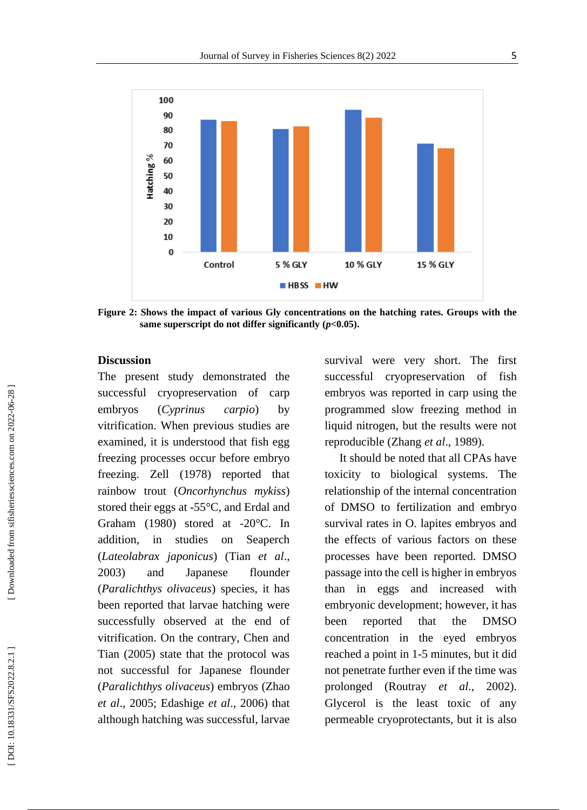

**Figure 2 : Shows the impact of various Gly concentrations on the hatching rates. Groups with the same superscript do not differ significantly (***p***<0.05).**

#### **Discussion**

The present study demonstrated the successful cryopreservation of carp embryos (*Cyprinus carpio*) by vitrification. When previous studies are examined, it is understood that fish egg freezing processes occur before embryo freezing. Zell (1978) reported that rainbow trout (*Oncorhynchus mykiss*) stored their eggs at -55°C, and Erdal and Graham (1980) stored at -20°C. In addition, in studies on Seaperch (*Lateolabrax japonicus*) (Tian *et al*., 2003) and Japanese flounder (*Paralichthys olivaceus*) species, it has been reported that larvae hatching were successfully observed at the end of vitrification. On the contrary, Chen and Tian (2005) state that the protocol was not successful for Japanese flounder (*Paralichthys olivaceus*) embryos (Zhao *et al*., 2005; Edashige *et al* . , 2006) that although hatching was successful, larvae

survival were very short. The first successful cryopreservation of fish embryos was reported in carp using the programmed slow freezing method in liquid nitrogen, but the results were not reproducible (Zhang *et al* ., 1989).

 It should be noted that all CPAs have toxicity to biological systems. The relationship of the internal concentration of DMSO to fertilization and embryo survival rates in O. lapites embryos and the effects of various factors on these processes have been reported. DMSO passage into the cell is higher in embryos than in eggs and increased with embryonic development; however, it has been reported that the DMSO concentration in the eyed embryos reached a point in 1 -5 minutes, but it did not penetrate further even if the time was prolonged (Routray *et al* . , 2002). Glycerol is the least toxic of any permeable cryoprotectants, but it is also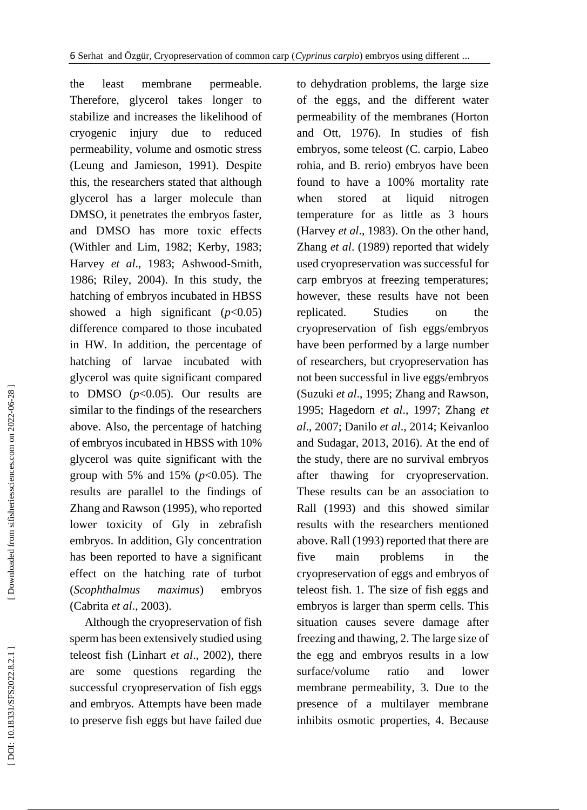the least membrane permeable. Therefore, glycerol takes longer to stabilize and increases the likelihood of cryogenic injury due to reduced permeability, volume and osmotic stress (Leung and Jamieson, 1991). Despite this, the researchers stated that although glycerol has a larger molecule than DMSO, it penetrates the embryos faster, and DMSO has more toxic effects (Withler and Lim, 1982; Kerby, 1983; Harvey *et al*., 1983; Ashwood -Smith , 1986; Riley, 2004). In this study, the hatching of embryos incubated in HBSS showed a high significant  $(p<0.05)$ difference compared to those incubated in HW. In addition, the percentage of hatching of larvae incubated with glycerol was quite significant compared to DMSO  $(p<0.05)$ . Our results are similar to the findings of the researchers above. Also, the percentage of hatching of embryos incubated in HBSS with 10% glycerol was quite significant with the group with 5% and 15% (*p*<0.05). The results are parallel to the findings of Zhang and Rawson (1995), who reported lower toxicity of Gly in zebrafish embryos. In addition, Gly concentration has been reported to have a significant effect on the hatching rate of turbot (*Scophthalmus maximus*) embryos (Cabrita *et al*., 2003).

 Although the cryopreservation of fish sperm has been extensively studied using teleost fish (Linhart *et al*., 2002), there are some questions regarding the successful cryopreservation of fish eggs and embryos. Attempts have been made to preserve fish eggs but have failed due to dehydration problems, the large size of the eggs, and the different water permeability of the membranes (Horton and Ott, 1976). In studies of fish embryos, some teleost (C. carpio, Labeo rohia, and B. rerio) embryos have been found to have a 100% mortality rate when stored at liquid nitrogen temperature for as little as 3 hours (Harvey *et al*., 1983). On the other hand, Zhang *et al*. (1989) reported that widely used cryopreservation was successful for carp embryos at freezing temperatures; however, these results have not been replicated. Studies on the cryopreservation of fish eggs/embryos have been performed by a large number of researchers, but cryopreservation has not been successful in live eggs/embryos (Suzuki *et al*., 1995; Zhang and Rawson, 1995; Hagedorn *et al*., 1997; Zhang *et al*., 200 7; Danilo *et al*., 2014; Keivanloo and Sudagar, 2013, 2016). At the end of the study, there are no survival embryos after thawing for cryopreservation. These results can be an association to Rall (1993) and this showed similar results with the researchers mentioned above. Rall (1993) reported that there are five main problems in the cryopreservation of eggs and embryos of teleost fish. 1. The size of fish eggs and embryos is larger than sperm cells. This situation causes severe damage after freezing and thawing, 2. The large size of the egg and embryos results in a low surface/volume ratio and lower membrane permeability, 3. Due to the presence of a multilayer membrane inhibits osmotic properties, 4. Because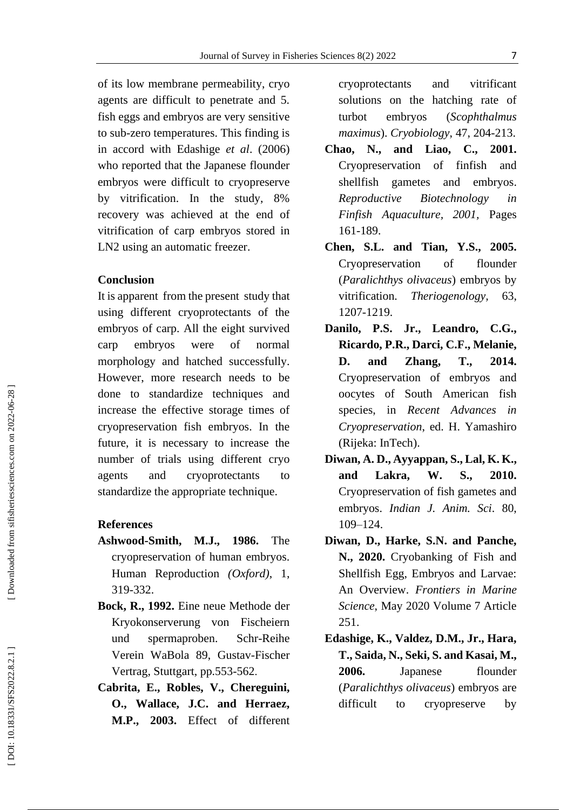of its low membrane permeability, cryo agents are difficult to penetrate and 5. fish eggs and embryos are very sensitive to sub -zero temperatures. This finding is in accord with Edashige *et al*. (2006) who reported that the Japanese flounder embryos were difficult to cryopreserve by vitrification. In the study, 8% recovery was achieved at the end of vitrification of carp embryos stored in LN2 using an automatic freezer.

#### **Conclusion**

It is apparent from the present study that using different cryoprotectants of the embryos of carp. All the eight survived carp embryos were of normal morphology and hatched successfully. However, more research needs to be done to standardize techniques and increase the effective storage times of cryopreservation fish embryos. In the future, it is necessary to increase the number of trials using different cryo agents and cryoprotectants to standardize the appropriate technique.

#### **References**

- **Ashwood -Smith, M.J., 1986.** The cryopreservation of human embryos. Human Reproduction *(Oxford)*, 1, 319 -332.
- **Bock, R., 1992.** Eine neue Methode der Kryokonserverung von Fischeiern und spermaproben. Schr-Reihe Verein WaBola 89, Gustav -Fischer Vertrag, Stuttgart, pp.553 -562 .
- **Cabrita, E., Robles, V., Chereguini, O., Wallace, J.C. and Herraez, M.P., 2003.** Effect of different

cryoprotectants and vitrificant solutions on the hatching rate of turbot embryos (*Scophthalmus maximus*). *Cryobiology*, 47, 204 -213.

- **Chao, N., and Liao , C., 2001.**  Cryopreservation of finfish and shellfish gametes and embryos. *Reproductive Biotechnology in Finfish Aquaculture , 2001,* Pages 161 -189.
- **Chen, S.L. and Tian, Y.S., 2005.** Cryopreservation of flounder (*Paralichthys olivaceus*) embryos by vitrification. *Theriogenology*, 63. 1207 -1219.
- **Danilo, P.S. Jr., Leandro, C.G., Ricardo, P.R., Darci, C.F., Melanie, D. and Zhang, T., 2014.** Cryopreservation of embryos and oocytes of South American fish species, in *Recent Advances in Cryopreservation*, ed. H. Yamashiro (Rijeka: InTech).
- **Diwan, A. D., Ayyappan, S., Lal, K. K., and Lakra, W. S., 2010.** Cryopreservation of fish gametes and embryos. *Indian J. Anim. Sci*. 80, 109 –124.
- **Diwan, D., Harke, S.N. and Panche, N., 2020.** Cryobanking of Fish and Shellfish Egg, Embryos and Larvae: An Overview. *Frontiers in Marine Science*, May 2020 Volume 7 Article 251.
- **Edashige, K., Valdez, D.M., Jr., Hara, T., Saida, N., Seki, S. and Kasai, M., 2006 .** Japanese flounder (*Paralichthys olivaceus*) embryos are difficult to cryopreserve by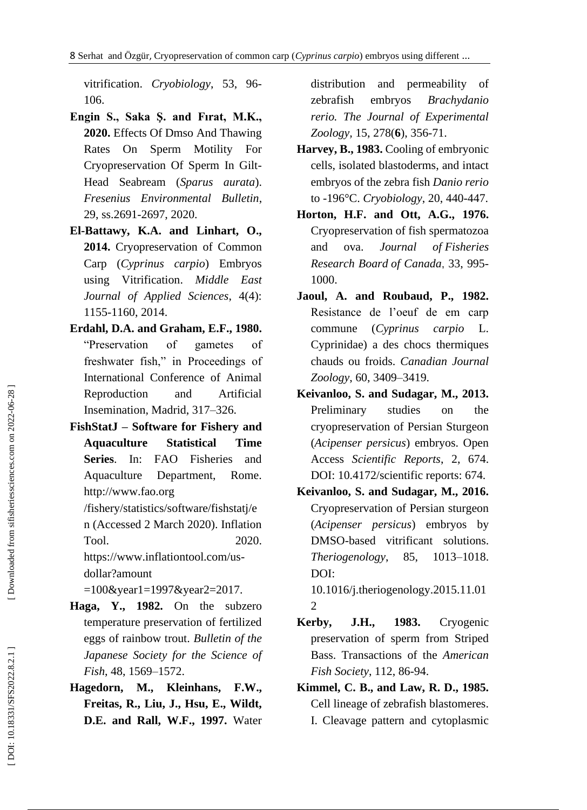vitrification. *Cryobiology*, 53 , 96 - 106.

- **Engin S., Saka Ş. and Fırat, M.K., 2020.** Effects Of Dmso And Thawing Rates On Sperm Motility For Cryopreservation Of Sperm In Gilt - Head Seabream (*Sparus aurata*). *Fresenius Environmental Bulletin*, 29, ss.2691 -2697, 2020.
- **El -Battawy, K.A. and Linhart, O., 2014.** Cryopreservation of Common Carp (*Cyprinus carpio*) Embryos using Vitrification. *Middle East Journal of Applied Sciences*, 4(4): 1155 -1160, 2014 .
- **Erdahl, D.A. and Graham, E.F., 1980.** "Preservation of gametes of freshwater fish," in Proceedings of International Conference of Animal Reproduction and Artificial Insemination, Madrid, 317 –326.
- **FishStatJ – Software for Fishery and Aquaculture Statistical Time Series**. In: FAO Fisheries and Aquaculture Department, Rome. http://www.fao.org

/fishery/statistics/software/fishstatj/e n (Accessed 2 March 2020). Inflation Tool. 2020.

https://www.inflationtool.com/us dollar?amount

=100&year1=1997&year2=2017.

- **Haga, Y., 1982.** On the subzero temperature preservation of fertilized eggs of rainbow trout. *Bulletin of the Japanese Society for the Science of Fish*, 48, 1569 –1572.
- **Hagedorn, M., Kleinhans, F.W., Freitas, R., Liu, J., Hsu, E., Wildt, D.E. and Rall, W.F., 1997.** Water

distribution and permeability of zebrafish embryos *Brachydanio rerio. The Journal of Experimental Zoology,* 15, 278( **6** ), 356 -71.

- **Harvey, B., 1983.** Cooling of embryonic cells, isolated blastoderms, and intact embryos of the zebra fish *Danio rerio* to -196°C. *Cryobiology*, 20, 440 -447.
- **Horton, H.F. and Ott, A.G., 1976.** Cryopreservation of fish spermatozoa and ova. *Journal of Fisheries Research Board of Canada* , 33 , 995 - 1000 .
- **Jaoul, A. and Roubaud, P., 1982.** Resistance de l'oeuf de em carp commune (*Cyprinus carpio* L. Cyprinidae) a des chocs thermiques chauds ou froids. *Canadian Journal Zoology*, 60, 3409 –3419.
- **Keivanloo, S. and Sudagar, M., 2013.** Preliminary studies on the cryopreservation of Persian Sturgeon (*Acipenser persicus*) embryos. Open Access *Scientific Reports* , 2, 674. DOI: 10.4172/scientific reports: 674.
- **Keivanloo, S. and Sudagar, M., 2016.** Cryopreservation of Persian sturgeon (*Acipenser persicus*) embryos by DMSO -based vitrificant solutions. *Theriogenology* , 85, 1013 –1018. DOI:

10.1016/j.theriogenology.2015.11.01 2

- **Kerby, J.H., 1983.** Cryogenic preservation of sperm from Striped Bass. Transactions of the *American Fish Society*, 112 , 86 -94.
- **Kimmel, C. B., and Law, R. D., 1985.** Cell lineage of zebrafish blastomeres. I. Cleavage pattern and cytoplasmic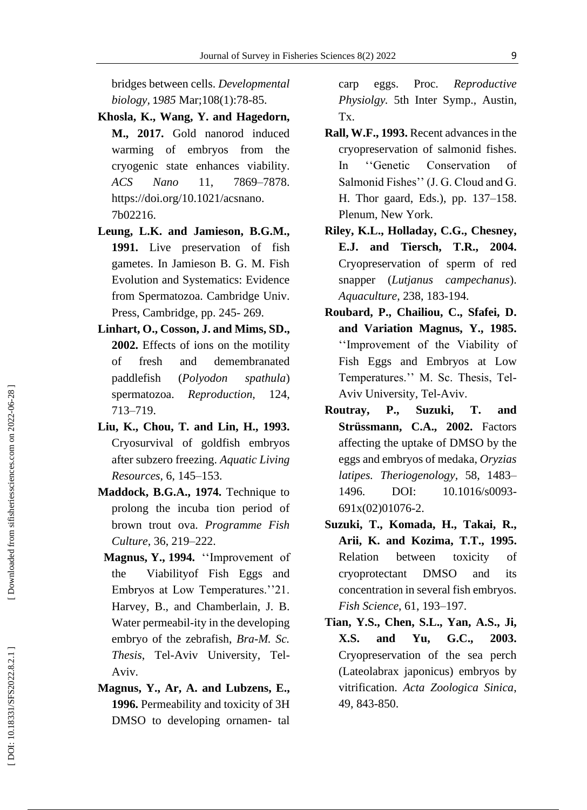bridges between cells. *Developmental biology,* 1*985* Mar;108(1):78 -85.

- **Khosla, K., Wang, Y. and Hagedorn, M., 2017.** Gold nanorod induced warming of embryos from the cryogenic state enhances viability. *ACS Nano* 11, –7878. [https://doi.org/10.1021/acsnano.](https://doi.org/10.1021/acsnano) 7b02216 .
- **Leung, L.K. and Jamieson, B.G.M., 1991.** Live preservation of fish gametes. In Jamieson B. G. M. Fish Evolution and Systematics: Evidence from Spermatozoa. Cambridge Univ. Press, Cambridge, pp. 245-269.
- **Linhart, O., Cosson, J. and Mims, SD., 2002.** Effects of ions on the motility of fresh and demembranated paddlefish (*Polyodon spathula*) spermatozoa. *Reproduction,* 124, 713 –719 .
- **Liu, K., Chou, T. and Lin, H., 1993.** Cryosurvival of goldfish embryos after subzero freezing. *Aquatic Living Resources*, 6, 145 –153.
- **Maddock, B.G.A., 1974.** Technique to prolong the incuba tion period of brown trout ova. *Programme Fish Culture*, 36, 219 –222.
- **Magnus, Y., 1994.** ''Improvement of the Viabilityof Fish Eggs and Embryos at Low Temperatures.''21. Harvey, B., and Chamberlain, J. B. Water permeabil -ity in the developing embryo of the zebrafish, *Bra -M. Sc.*  Thesis, Tel-Aviv University, Tel-Aviv .
- **Magnus, Y., Ar, A. and Lubzens, E., 1996.** Permeability and toxicity of 3H DMSO to developing ornamen- tal

carp eggs. Proc. *Reproductive Physiolgy.* 5th Inter Symp., Austin, Tx.

- **Rall, W.F., 1993.** Recent advances in the cryopreservation of salmonid fishes. In ''Genetic Conservation of Salmonid Fishes'' (J. G. Cloud and G. H. Thor gaard, Eds.), pp. 137 –158. Plenum, New York.
- **Riley, K.L., Holladay, C.G., Chesney, E.J. and Tiersch, T.R., 2004.** Cryopreservation of sperm of red snapper (*Lutjanus campechanus*). *Aquaculture*, 238, 183 -194.
- **Roubard, P., Chailiou, C., Sfafei, D. and Variation Magnus, Y., 1985 .** ''Improvement of the Viability of Fish Eggs and Embryos at Low Temperatures.'' M. Sc. Thesis, Tel - Aviv University, Tel -Aviv.
- **Routray, P., Suzuki, T. and Strüssmann, C.A., 2002.** Factors affecting the uptake of DMSO by the eggs and embryos of medaka, *Oryzias latipes. Theriogenology,* 58, 1483 – 1496. DOI: 10.1016/s0093-691x(02)01076 -2.
- **Suzuki, T., Komada, H., Takai, R., Arii, K. and Kozima, T .T., 1995.** Relation between toxicity of cryoprotectant DMSO and its concentration in several fish embryos. *Fish Science*, 61, 193 –197.
- **Tian, Y.S., Chen, S.L., Yan, A.S., Ji, X.S. and Yu, G.C., 2003.** Cryopreservation of the sea perch (Lateolabrax japonicus) embryos by vitrification. *Acta Zoologica Sinica*, 49 , 843 -850.